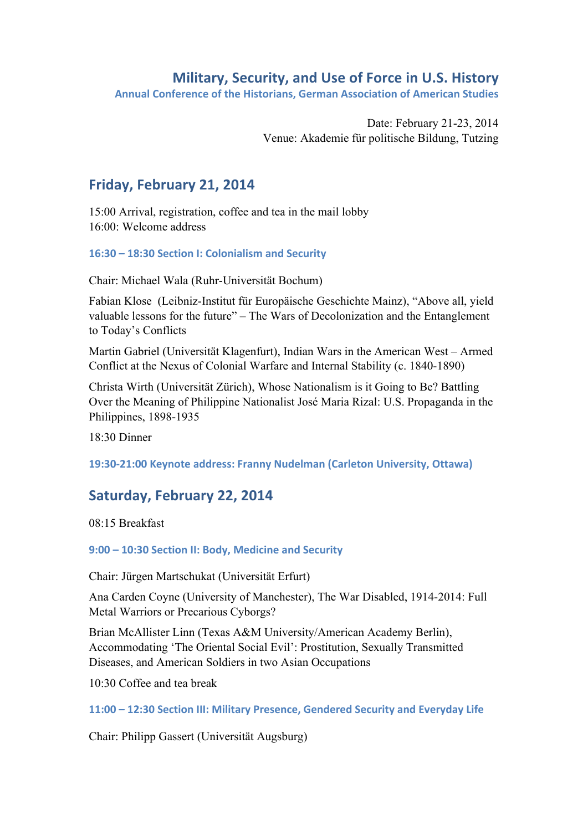### **Military, Security, and Use of Force in U.S. History**

Annual Conference of the Historians, German Association of American Studies

Date: February 21-23, 2014 Venue: Akademie für politische Bildung, Tutzing

# Friday, February 21, 2014

15:00 Arrival, registration, coffee and tea in the mail lobby 16:00: Welcome address

### **16:30 – 18:30 Section)I:)Colonialism)and)Security)**

Chair: Michael Wala (Ruhr-Universität Bochum)

Fabian Klose (Leibniz-Institut für Europäische Geschichte Mainz), "Above all, yield valuable lessons for the future" – The Wars of Decolonization and the Entanglement to Today's Conflicts

Martin Gabriel (Universität Klagenfurt), Indian Wars in the American West – Armed Conflict at the Nexus of Colonial Warfare and Internal Stability (c. 1840-1890)

Christa Wirth (Universität Zürich), Whose Nationalism is it Going to Be? Battling Over the Meaning of Philippine Nationalist José Maria Rizal: U.S. Propaganda in the Philippines, 1898-1935

18:30 Dinner

19:30-21:00 Keynote address: Franny Nudelman (Carleton University, Ottawa)

# Saturday, February 22, 2014

08:15 Breakfast

9:00 – 10:30 Section II: Body, Medicine and Security

Chair: Jürgen Martschukat (Universität Erfurt)

Ana Carden Coyne (University of Manchester), The War Disabled, 1914-2014: Full Metal Warriors or Precarious Cyborgs?

Brian McAllister Linn (Texas A&M University/American Academy Berlin), Accommodating 'The Oriental Social Evil': Prostitution, Sexually Transmitted Diseases, and American Soldiers in two Asian Occupations

10:30 Coffee and tea break

**11:00 – 12:30 Section)III:)Military)Presence,)Gendered)Security and)Everyday)Life**

Chair: Philipp Gassert (Universität Augsburg)